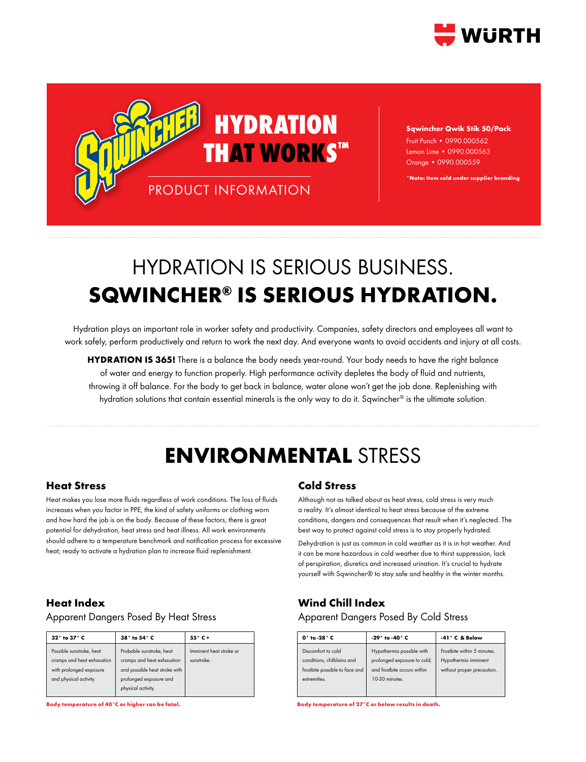



**Sqwincher Qwik Stik 50/Pack** Fruit Punch • 0990.000562 Lemon Lime • 0990.000563 Orange • 0990.000559

**\*Note: Item sold under supplier branding**

## HYDRATION IS SERIOUS BUSINESS. **SQWINCHER® IS SERIOUS HYDRATION.**

Hydration plays an important role in worker safety and productivity. Companies, safety directors and employees all want to work safely, perform productively and return to work the next day. And everyone wants to avoid accidents and injury at all costs.

**HYDRATION IS 365!** There is a balance the body needs year-round. Your body needs to have the right balance of water and energy to function properly. High performance activity depletes the body of fluid and nutrients, throwing it off balance. For the body to get back in balance, water alone won't get the job done. Replenishing with hydration solutions that contain essential minerals is the only way to do it. Sqwincher® is the ultimate solution.

## **ENVIRONMENTAL** STRESS

### **Heat Stress**

Heat makes you lose more fluids regardless of work conditions. The loss of fluids increases when you factor in PPE, the kind of safety uniforms or clothing worn and how hard the job is on the body. Because of these factors, there is great potential for dehydration, heat stress and heat illness. All work environments should adhere to a temperature benchmark and notification process for excessive heat; ready to activate a hydration plan to increase fluid replenishment.

### **Heat Index**

### Apparent Dangers Posed By Heat Stress

| $32^\circ$ to $37^\circ$ C                                                                                  | 38° to 54° C                                                                                                                            | $55^\circ C +$                        |  |
|-------------------------------------------------------------------------------------------------------------|-----------------------------------------------------------------------------------------------------------------------------------------|---------------------------------------|--|
| Possible sunstroke, heat<br>cramps and heat exhaustion<br>with prolonged exposure<br>and physical activity. | Probable sunstroke, heat<br>cramps and heat exhaustion<br>and possible heat stroke with<br>prolonged exposure and<br>physical activity. | Imminent heat stroke or<br>sunstroke. |  |

**Body temperature of 40°C or higher can be fatal. Body temperature of 27°C or below results in death.**

### **Cold Stress**

Although not as talked about as heat stress, cold stress is very much a reality. It's almost identical to heat stress because of the extreme conditions, dangers and consequences that result when it's neglected. The best way to protect against cold stress is to stay properly hydrated.

Dehydration is just as common in cold weather as it is in hot weather. And it can be more hazardous in cold weather due to thirst suppression, lack of perspiration, diuretics and increased urination. It's crucial to hydrate yourself with Sqwincher® to stay safe and healthy in the winter months.

### **Wind Chill Index**

### Apparent Dangers Posed By Cold Stress

| $0^\circ$ to -28 $^\circ$ C                                                                        | -29 $^{\circ}$ to -40 $^{\circ}$ C                                                                        | $-41^\circ$ C & Below                                                             |  |
|----------------------------------------------------------------------------------------------------|-----------------------------------------------------------------------------------------------------------|-----------------------------------------------------------------------------------|--|
| Discomfort to cold<br>conditions, chilblains and<br>frostbite possible to face and<br>extremities. | Hypothermia possible with<br>prolonged exposure to cold,<br>and frostbite occurs within<br>10-30 minutes. | Frostbite within 5 minutes.<br>Hypothermia imminent<br>without proper precaution. |  |